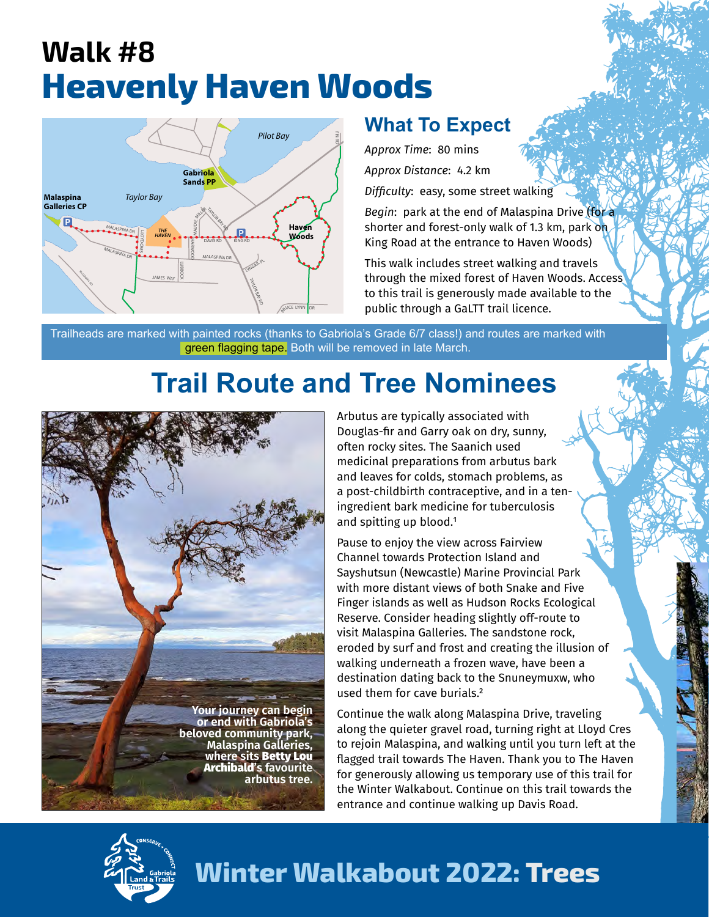## **Walk #8 Heavenly Haven Woods**



## **What To Expect**

*Approx Time*: 80 mins

*Approx Distance*: 4.2 km

*Difficulty*: easy, some street walking

*Begin*: park at the end of Malaspina Drive (for a shorter and forest-only walk of 1.3 km, park on King Road at the entrance to Haven Woods)

This walk includes street walking and travels through the mixed forest of Haven Woods. Access to this trail is generously made available to the public through a GaLTT trail licence.

Trailheads are marked with painted rocks (thanks to Gabriola's Grade 6/7 class!) and routes are marked with green flagging tape. Both will be removed in late March.

## **Trail Route and Tree Nominees**



Arbutus are typically associated with Douglas-fir and Garry oak on dry, sunny, often rocky sites. The Saanich used medicinal preparations from arbutus bark and leaves for colds, stomach problems, as a post-childbirth contraceptive, and in a teningredient bark medicine for tuberculosis and spitting up blood.<sup>1</sup>

Pause to enjoy the view across Fairview Channel towards Protection Island and Sayshutsun (Newcastle) Marine Provincial Park with more distant views of both Snake and Five Finger islands as well as Hudson Rocks Ecological Reserve. Consider heading slightly off-route to visit Malaspina Galleries. The sandstone rock, eroded by surf and frost and creating the illusion of walking underneath a frozen wave, have been a destination dating back to the Snuneymuxw, who used them for cave burials.²

Continue the walk along Malaspina Drive, traveling along the quieter gravel road, turning right at Lloyd Cres to rejoin Malaspina, and walking until you turn left at the flagged trail towards The Haven. Thank you to The Haven for generously allowing us temporary use of this trail for the Winter Walkabout. Continue on this trail towards the entrance and continue walking up Davis Road.



## **Winter Walkabout 2022: Trees**